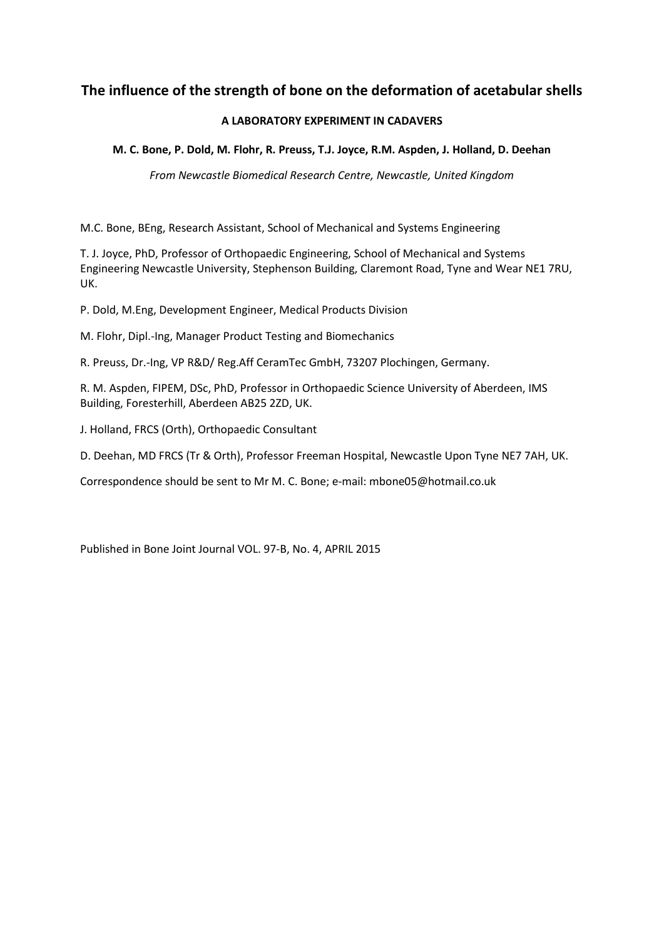# **The influence of the strength of bone on the deformation of acetabular shells**

### **A LABORATORY EXPERIMENT IN CADAVERS**

**M. C. Bone, P. Dold, M. Flohr, R. Preuss, T.J. Joyce, R.M. Aspden, J. Holland, D. Deehan**

*From Newcastle Biomedical Research Centre, Newcastle, United Kingdom*

M.C. Bone, BEng, Research Assistant, School of Mechanical and Systems Engineering

T. J. Joyce, PhD, Professor of Orthopaedic Engineering, School of Mechanical and Systems Engineering Newcastle University, Stephenson Building, Claremont Road, Tyne and Wear NE1 7RU, UK.

P. Dold, M.Eng, Development Engineer, Medical Products Division

M. Flohr, Dipl.-Ing, Manager Product Testing and Biomechanics

R. Preuss, Dr.-Ing, VP R&D/ Reg.Aff CeramTec GmbH, 73207 Plochingen, Germany.

R. M. Aspden, FIPEM, DSc, PhD, Professor in Orthopaedic Science University of Aberdeen, IMS Building, Foresterhill, Aberdeen AB25 2ZD, UK.

J. Holland, FRCS (Orth), Orthopaedic Consultant

D. Deehan, MD FRCS (Tr & Orth), Professor Freeman Hospital, Newcastle Upon Tyne NE7 7AH, UK.

Correspondence should be sent to Mr M. C. Bone; e-mail: mbone05@hotmail.co.uk

Published in Bone Joint Journal VOL. 97-B, No. 4, APRIL 2015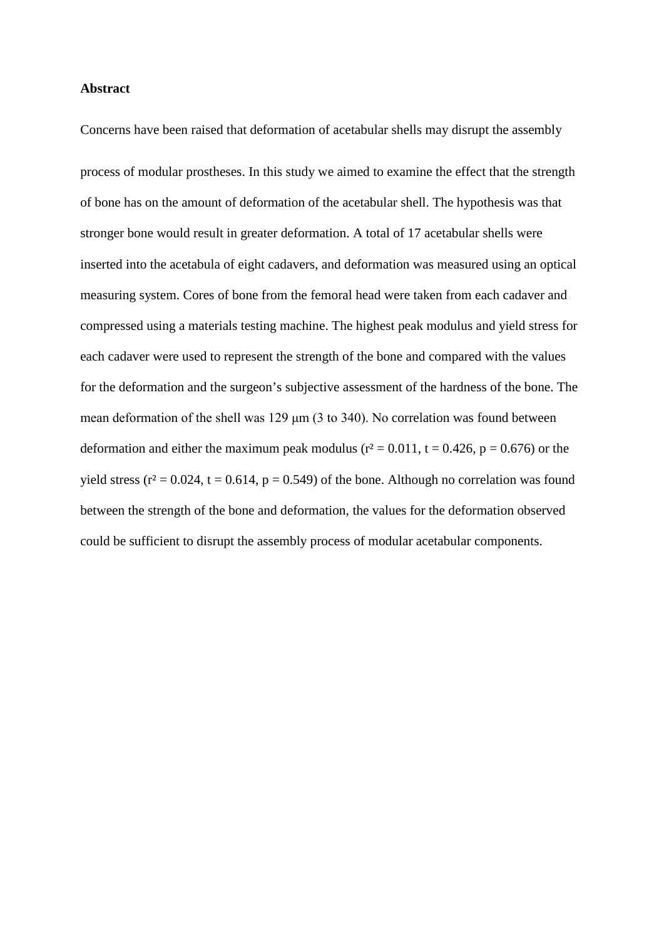#### **Abstract**

Concerns have been raised that deformation of acetabular shells may disrupt the assembly process of modular prostheses. In this study we aimed to examine the effect that the strength of bone has on the amount of deformation of the acetabular shell. The hypothesis was that stronger bone would result in greater deformation. A total of 17 acetabular shells were inserted into the acetabula of eight cadavers, and deformation was measured using an optical measuring system. Cores of bone from the femoral head were taken from each cadaver and compressed using a materials testing machine. The highest peak modulus and yield stress for each cadaver were used to represent the strength of the bone and compared with the values for the deformation and the surgeon's subjective assessment of the hardness of the bone. The mean deformation of the shell was 129 μm (3 to 340). No correlation was found between deformation and either the maximum peak modulus ( $r^2 = 0.011$ ,  $t = 0.426$ ,  $p = 0.676$ ) or the yield stress ( $r^2 = 0.024$ , t = 0.614, p = 0.549) of the bone. Although no correlation was found between the strength of the bone and deformation, the values for the deformation observed could be sufficient to disrupt the assembly process of modular acetabular components.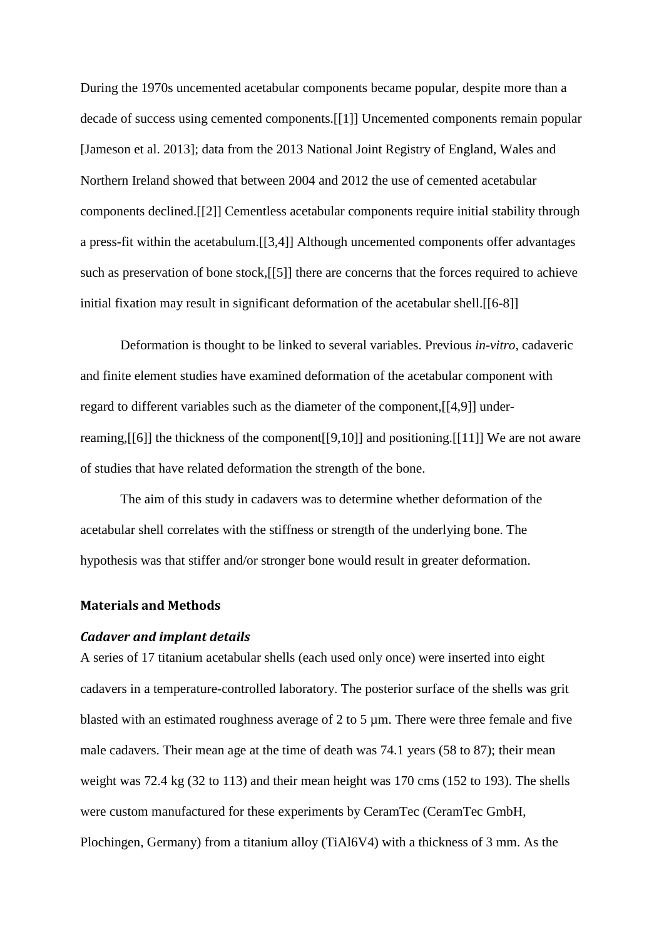During the 1970s uncemented acetabular components became popular, despite more than a decade of success using cemented components.[[1]] Uncemented components remain popular [Jameson et al. 2013]; data from the 2013 National Joint Registry of England, Wales and Northern Ireland showed that between 2004 and 2012 the use of cemented acetabular components declined.[[2]] Cementless acetabular components require initial stability through a press-fit within the acetabulum.[[3,4]] Although uncemented components offer advantages such as preservation of bone stock,[[5]] there are concerns that the forces required to achieve initial fixation may result in significant deformation of the acetabular shell.[[6-8]]

Deformation is thought to be linked to several variables. Previous *in-vitro*, cadaveric and finite element studies have examined deformation of the acetabular component with regard to different variables such as the diameter of the component,[[4,9]] underreaming,[[6]] the thickness of the component[[9,10]] and positioning.[[11]] We are not aware of studies that have related deformation the strength of the bone.

The aim of this study in cadavers was to determine whether deformation of the acetabular shell correlates with the stiffness or strength of the underlying bone. The hypothesis was that stiffer and/or stronger bone would result in greater deformation.

### **Materials and Methods**

#### *Cadaver and implant details*

A series of 17 titanium acetabular shells (each used only once) were inserted into eight cadavers in a temperature-controlled laboratory. The posterior surface of the shells was grit blasted with an estimated roughness average of 2 to 5 µm. There were three female and five male cadavers. Their mean age at the time of death was 74.1 years (58 to 87); their mean weight was 72.4 kg (32 to 113) and their mean height was 170 cms (152 to 193). The shells were custom manufactured for these experiments by CeramTec (CeramTec GmbH, Plochingen, Germany) from a titanium alloy (TiAl6V4) with a thickness of 3 mm. As the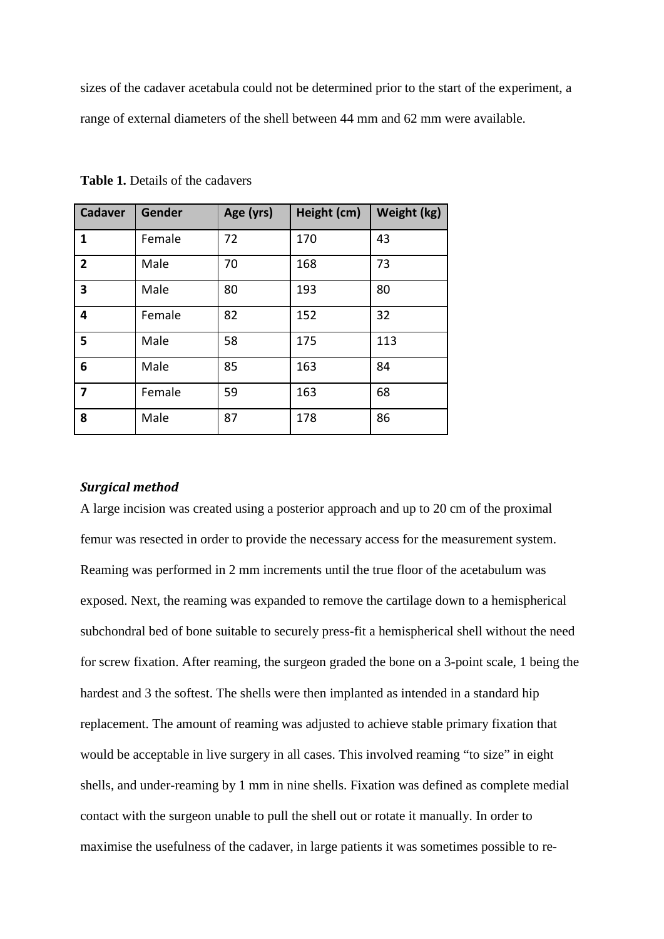sizes of the cadaver acetabula could not be determined prior to the start of the experiment, a range of external diameters of the shell between 44 mm and 62 mm were available.

| <b>Cadaver</b> | Gender | Age (yrs) | Height (cm) | Weight (kg) |
|----------------|--------|-----------|-------------|-------------|
| 1              | Female | 72        | 170         | 43          |
| $\overline{2}$ | Male   | 70        | 168         | 73          |
| 3              | Male   | 80        | 193         | 80          |
| 4              | Female | 82        | 152         | 32          |
| 5              | Male   | 58        | 175         | 113         |
| 6              | Male   | 85        | 163         | 84          |
| 7              | Female | 59        | 163         | 68          |
| 8              | Male   | 87        | 178         | 86          |

**Table 1.** Details of the cadavers

### *Surgical method*

A large incision was created using a posterior approach and up to 20 cm of the proximal femur was resected in order to provide the necessary access for the measurement system. Reaming was performed in 2 mm increments until the true floor of the acetabulum was exposed. Next, the reaming was expanded to remove the cartilage down to a hemispherical subchondral bed of bone suitable to securely press-fit a hemispherical shell without the need for screw fixation. After reaming, the surgeon graded the bone on a 3-point scale, 1 being the hardest and 3 the softest. The shells were then implanted as intended in a standard hip replacement. The amount of reaming was adjusted to achieve stable primary fixation that would be acceptable in live surgery in all cases. This involved reaming "to size" in eight shells, and under-reaming by 1 mm in nine shells. Fixation was defined as complete medial contact with the surgeon unable to pull the shell out or rotate it manually. In order to maximise the usefulness of the cadaver, in large patients it was sometimes possible to re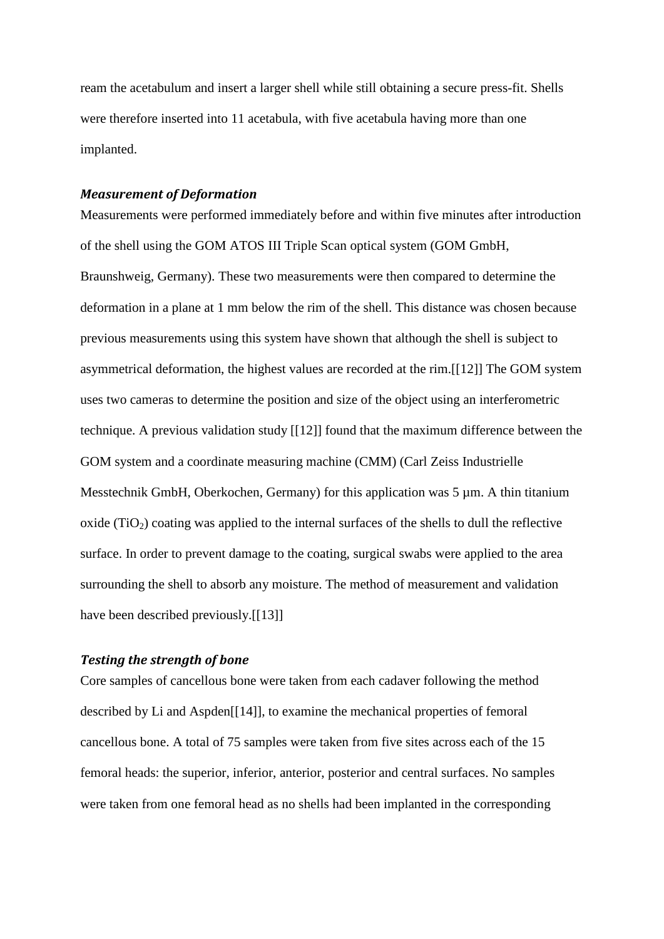ream the acetabulum and insert a larger shell while still obtaining a secure press-fit. Shells were therefore inserted into 11 acetabula, with five acetabula having more than one implanted.

#### *Measurement of Deformation*

Measurements were performed immediately before and within five minutes after introduction of the shell using the GOM ATOS III Triple Scan optical system (GOM GmbH, Braunshweig, Germany). These two measurements were then compared to determine the deformation in a plane at 1 mm below the rim of the shell. This distance was chosen because previous measurements using this system have shown that although the shell is subject to asymmetrical deformation, the highest values are recorded at the rim.[[12]] The GOM system uses two cameras to determine the position and size of the object using an interferometric technique. A previous validation study [[12]] found that the maximum difference between the GOM system and a coordinate measuring machine (CMM) (Carl Zeiss Industrielle Messtechnik GmbH, Oberkochen, Germany) for this application was 5  $\mu$ m. A thin titanium oxide  $(TiO<sub>2</sub>)$  coating was applied to the internal surfaces of the shells to dull the reflective surface. In order to prevent damage to the coating, surgical swabs were applied to the area surrounding the shell to absorb any moisture. The method of measurement and validation have been described previously.[[13]]

### *Testing the strength of bone*

Core samples of cancellous bone were taken from each cadaver following the method described by Li and Aspden[[14]], to examine the mechanical properties of femoral cancellous bone. A total of 75 samples were taken from five sites across each of the 15 femoral heads: the superior, inferior, anterior, posterior and central surfaces. No samples were taken from one femoral head as no shells had been implanted in the corresponding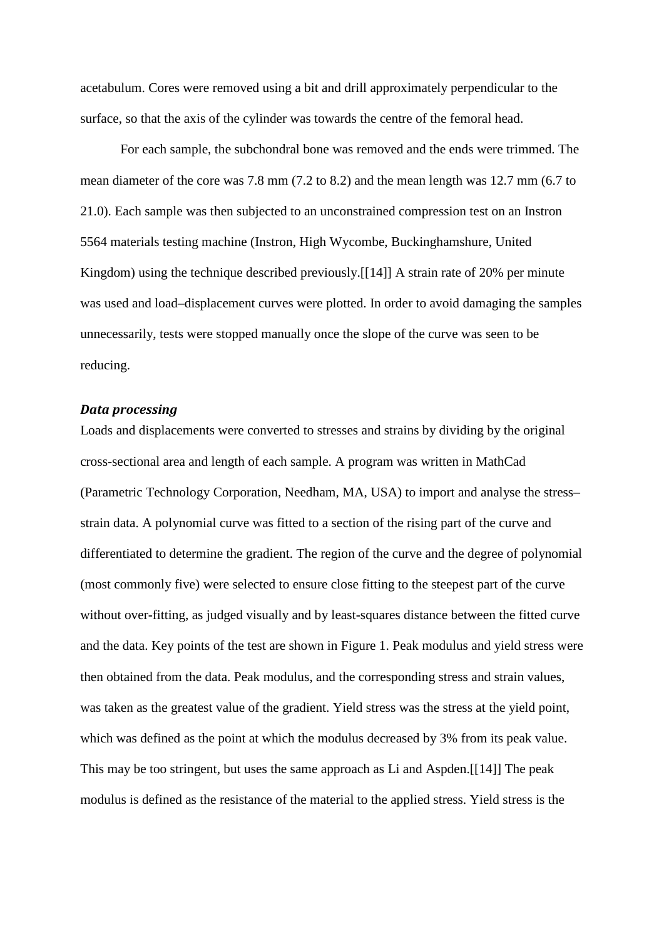acetabulum. Cores were removed using a bit and drill approximately perpendicular to the surface, so that the axis of the cylinder was towards the centre of the femoral head.

For each sample, the subchondral bone was removed and the ends were trimmed. The mean diameter of the core was 7.8 mm (7.2 to 8.2) and the mean length was 12.7 mm (6.7 to 21.0). Each sample was then subjected to an unconstrained compression test on an Instron 5564 materials testing machine (Instron, High Wycombe, Buckinghamshure, United Kingdom) using the technique described previously.[[14]] A strain rate of 20% per minute was used and load–displacement curves were plotted. In order to avoid damaging the samples unnecessarily, tests were stopped manually once the slope of the curve was seen to be reducing.

#### *Data processing*

Loads and displacements were converted to stresses and strains by dividing by the original cross-sectional area and length of each sample. A program was written in MathCad (Parametric Technology Corporation, Needham, MA, USA) to import and analyse the stress– strain data. A polynomial curve was fitted to a section of the rising part of the curve and differentiated to determine the gradient. The region of the curve and the degree of polynomial (most commonly five) were selected to ensure close fitting to the steepest part of the curve without over-fitting, as judged visually and by least-squares distance between the fitted curve and the data. Key points of the test are shown in Figure 1. Peak modulus and yield stress were then obtained from the data. Peak modulus, and the corresponding stress and strain values, was taken as the greatest value of the gradient. Yield stress was the stress at the yield point, which was defined as the point at which the modulus decreased by 3% from its peak value. This may be too stringent, but uses the same approach as Li and Aspden.[[14]] The peak modulus is defined as the resistance of the material to the applied stress. Yield stress is the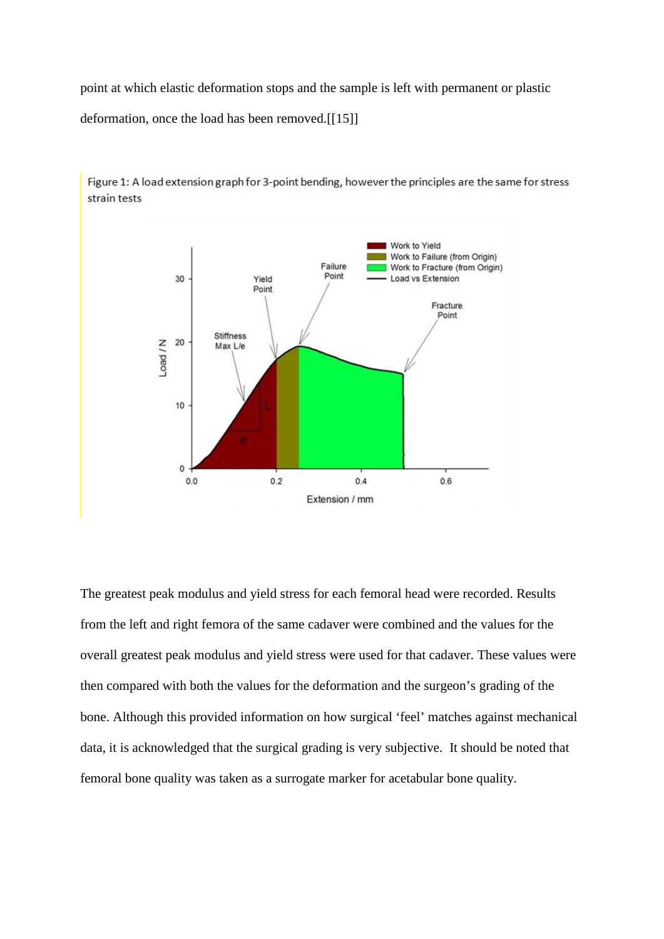point at which elastic deformation stops and the sample is left with permanent or plastic deformation, once the load has been removed.[[15]]



Figure 1: A load extension graph for 3-point bending, however the principles are the same for stress strain tests

The greatest peak modulus and yield stress for each femoral head were recorded. Results from the left and right femora of the same cadaver were combined and the values for the overall greatest peak modulus and yield stress were used for that cadaver. These values were then compared with both the values for the deformation and the surgeon's grading of the bone. Although this provided information on how surgical 'feel' matches against mechanical data, it is acknowledged that the surgical grading is very subjective. It should be noted that femoral bone quality was taken as a surrogate marker for acetabular bone quality.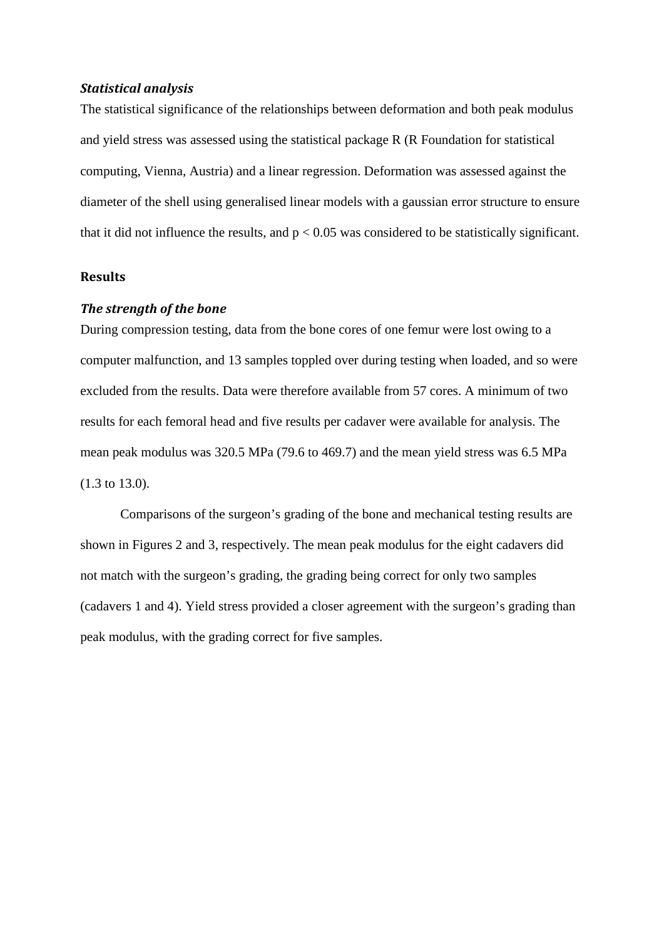#### *Statistical analysis*

The statistical significance of the relationships between deformation and both peak modulus and yield stress was assessed using the statistical package R (R Foundation for statistical computing, Vienna, Austria) and a linear regression. Deformation was assessed against the diameter of the shell using generalised linear models with a gaussian error structure to ensure that it did not influence the results, and  $p < 0.05$  was considered to be statistically significant.

### **Results**

## *The strength of the bone*

During compression testing, data from the bone cores of one femur were lost owing to a computer malfunction, and 13 samples toppled over during testing when loaded, and so were excluded from the results. Data were therefore available from 57 cores. A minimum of two results for each femoral head and five results per cadaver were available for analysis. The mean peak modulus was 320.5 MPa (79.6 to 469.7) and the mean yield stress was 6.5 MPa (1.3 to 13.0).

Comparisons of the surgeon's grading of the bone and mechanical testing results are shown in Figures 2 and 3, respectively. The mean peak modulus for the eight cadavers did not match with the surgeon's grading, the grading being correct for only two samples (cadavers 1 and 4). Yield stress provided a closer agreement with the surgeon's grading than peak modulus, with the grading correct for five samples.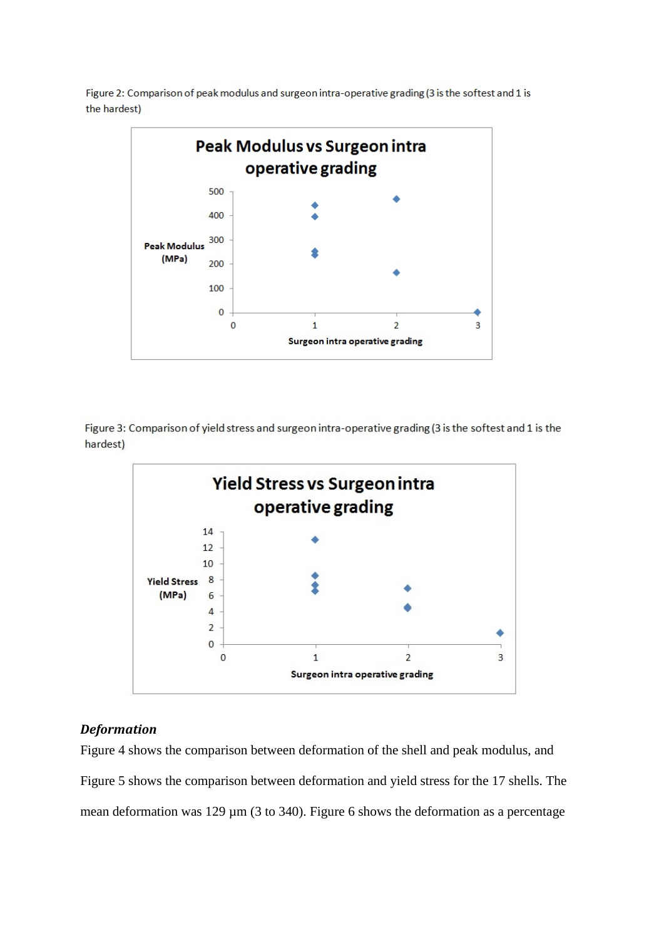Figure 2: Comparison of peak modulus and surgeon intra-operative grading (3 is the softest and 1 is the hardest)



Figure 3: Comparison of yield stress and surgeon intra-operative grading (3 is the softest and 1 is the hardest)



### *Deformation*

Figure 4 shows the comparison between deformation of the shell and peak modulus, and Figure 5 shows the comparison between deformation and yield stress for the 17 shells. The mean deformation was 129  $\mu$ m (3 to 340). Figure 6 shows the deformation as a percentage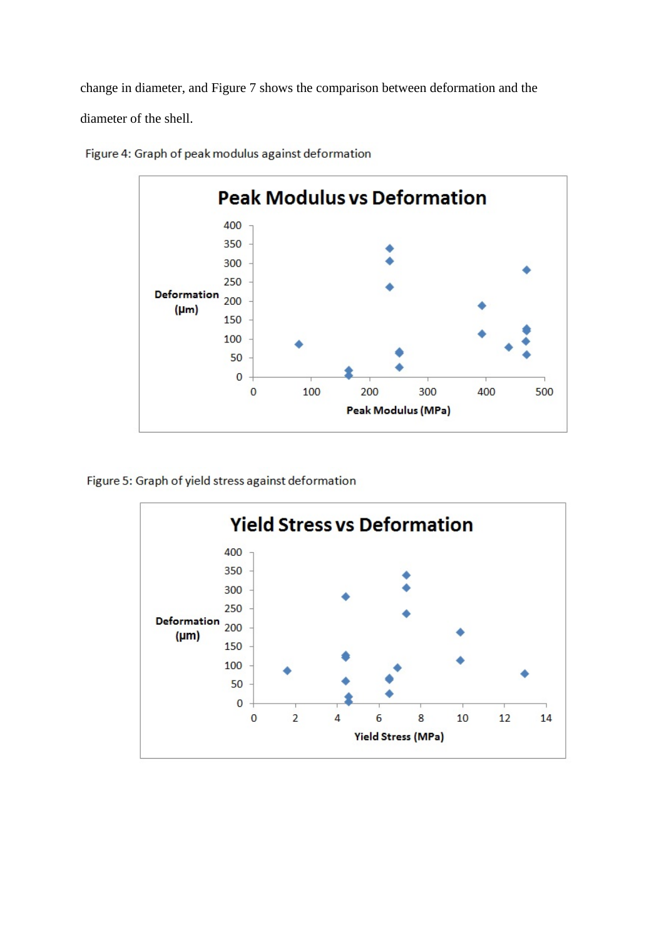change in diameter, and Figure 7 shows the comparison between deformation and the diameter of the shell.



Figure 4: Graph of peak modulus against deformation

Figure 5: Graph of yield stress against deformation

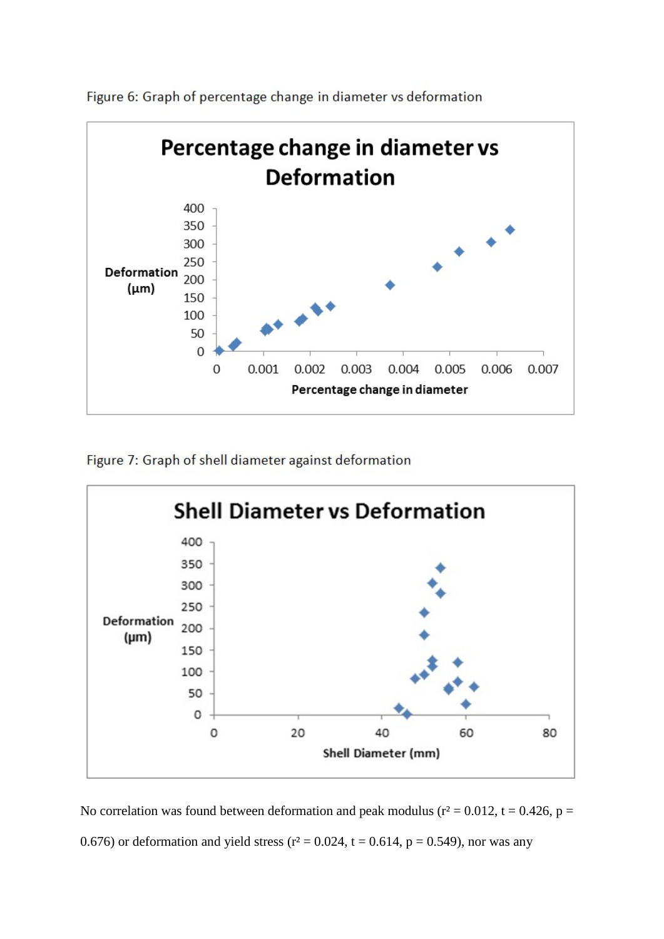

Figure 6: Graph of percentage change in diameter vs deformation

Figure 7: Graph of shell diameter against deformation



No correlation was found between deformation and peak modulus ( $r^2 = 0.012$ ,  $t = 0.426$ ,  $p =$ 0.676) or deformation and yield stress ( $r^2 = 0.024$ ,  $t = 0.614$ ,  $p = 0.549$ ), nor was any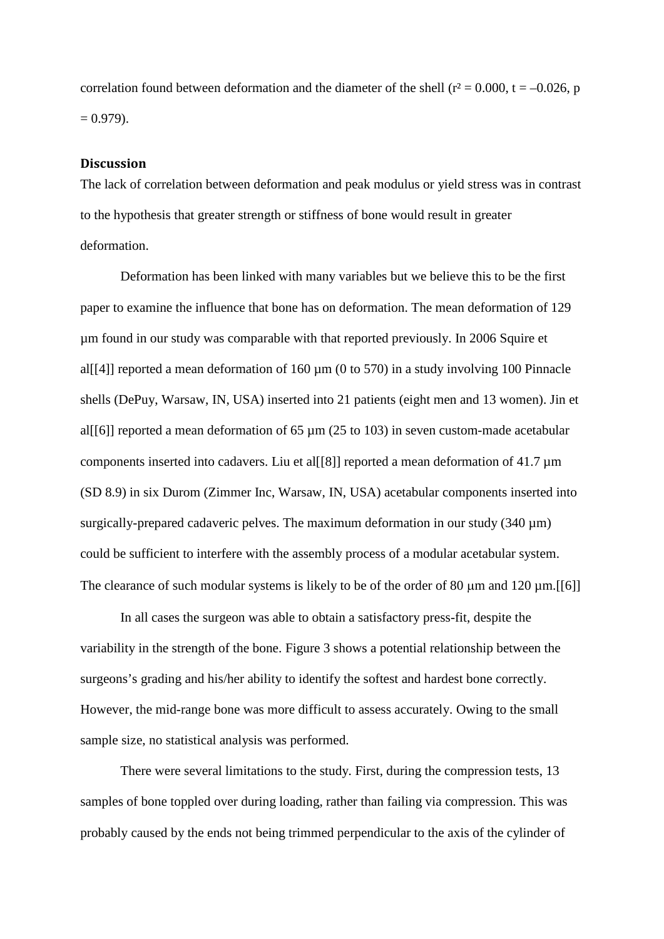correlation found between deformation and the diameter of the shell ( $r^2 = 0.000$ ,  $t = -0.026$ , p  $= 0.979$ ).

#### **Discussion**

The lack of correlation between deformation and peak modulus or yield stress was in contrast to the hypothesis that greater strength or stiffness of bone would result in greater deformation.

Deformation has been linked with many variables but we believe this to be the first paper to examine the influence that bone has on deformation. The mean deformation of 129 µm found in our study was comparable with that reported previously. In 2006 Squire et al[[4]] reported a mean deformation of  $160 \mu m$  (0 to 570) in a study involving 100 Pinnacle shells (DePuy, Warsaw, IN, USA) inserted into 21 patients (eight men and 13 women). Jin et al[[6]] reported a mean deformation of 65  $\mu$ m (25 to 103) in seven custom-made acetabular components inserted into cadavers. Liu et all [8]] reported a mean deformation of 41.7  $\mu$ m (SD 8.9) in six Durom (Zimmer Inc, Warsaw, IN, USA) acetabular components inserted into surgically-prepared cadaveric pelves. The maximum deformation in our study  $(340 \,\mu m)$ could be sufficient to interfere with the assembly process of a modular acetabular system. The clearance of such modular systems is likely to be of the order of 80  $\mu$ m and 120  $\mu$ m.[[6]]

In all cases the surgeon was able to obtain a satisfactory press-fit, despite the variability in the strength of the bone. Figure 3 shows a potential relationship between the surgeons's grading and his/her ability to identify the softest and hardest bone correctly. However, the mid-range bone was more difficult to assess accurately. Owing to the small sample size, no statistical analysis was performed.

There were several limitations to the study. First, during the compression tests, 13 samples of bone toppled over during loading, rather than failing via compression. This was probably caused by the ends not being trimmed perpendicular to the axis of the cylinder of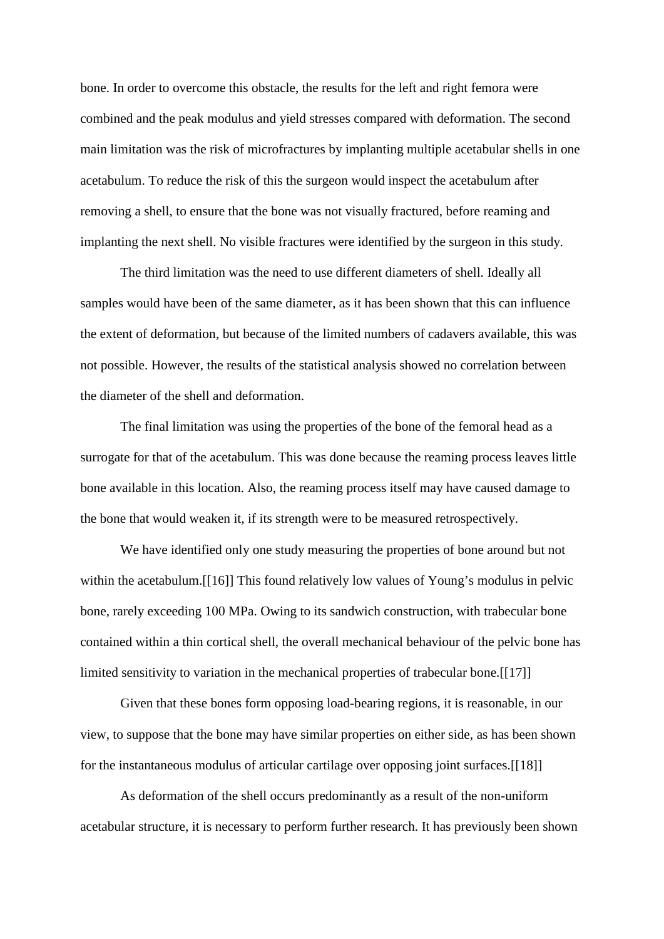bone. In order to overcome this obstacle, the results for the left and right femora were combined and the peak modulus and yield stresses compared with deformation. The second main limitation was the risk of microfractures by implanting multiple acetabular shells in one acetabulum. To reduce the risk of this the surgeon would inspect the acetabulum after removing a shell, to ensure that the bone was not visually fractured, before reaming and implanting the next shell. No visible fractures were identified by the surgeon in this study.

The third limitation was the need to use different diameters of shell. Ideally all samples would have been of the same diameter, as it has been shown that this can influence the extent of deformation, but because of the limited numbers of cadavers available, this was not possible. However, the results of the statistical analysis showed no correlation between the diameter of the shell and deformation.

The final limitation was using the properties of the bone of the femoral head as a surrogate for that of the acetabulum. This was done because the reaming process leaves little bone available in this location. Also, the reaming process itself may have caused damage to the bone that would weaken it, if its strength were to be measured retrospectively.

We have identified only one study measuring the properties of bone around but not within the acetabulum.[[16]] This found relatively low values of Young's modulus in pelvic bone, rarely exceeding 100 MPa. Owing to its sandwich construction, with trabecular bone contained within a thin cortical shell, the overall mechanical behaviour of the pelvic bone has limited sensitivity to variation in the mechanical properties of trabecular bone. [[17]]

Given that these bones form opposing load-bearing regions, it is reasonable, in our view, to suppose that the bone may have similar properties on either side, as has been shown for the instantaneous modulus of articular cartilage over opposing joint surfaces.[[18]]

As deformation of the shell occurs predominantly as a result of the non-uniform acetabular structure, it is necessary to perform further research. It has previously been shown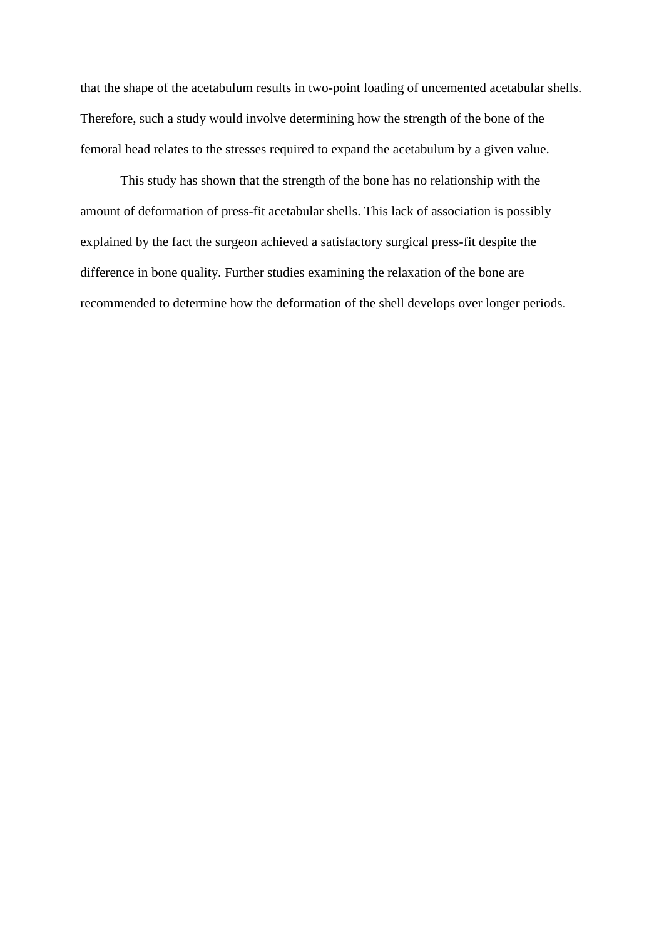that the shape of the acetabulum results in two-point loading of uncemented acetabular shells. Therefore, such a study would involve determining how the strength of the bone of the femoral head relates to the stresses required to expand the acetabulum by a given value.

This study has shown that the strength of the bone has no relationship with the amount of deformation of press-fit acetabular shells. This lack of association is possibly explained by the fact the surgeon achieved a satisfactory surgical press-fit despite the difference in bone quality. Further studies examining the relaxation of the bone are recommended to determine how the deformation of the shell develops over longer periods.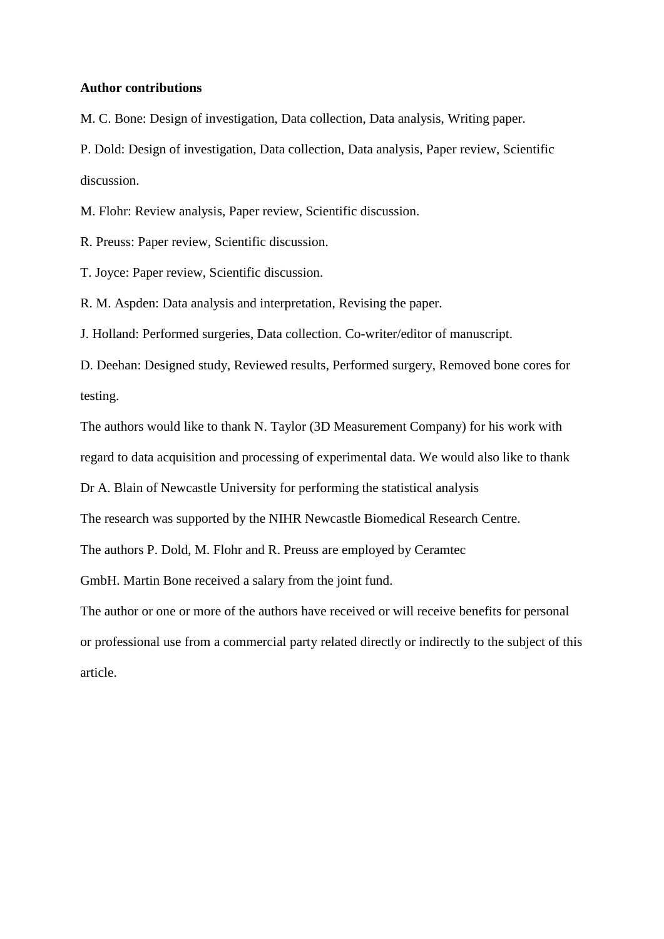### **Author contributions**

M. C. Bone: Design of investigation, Data collection, Data analysis, Writing paper.

P. Dold: Design of investigation, Data collection, Data analysis, Paper review, Scientific discussion.

M. Flohr: Review analysis, Paper review, Scientific discussion.

R. Preuss: Paper review, Scientific discussion.

T. Joyce: Paper review, Scientific discussion.

R. M. Aspden: Data analysis and interpretation, Revising the paper.

J. Holland: Performed surgeries, Data collection. Co-writer/editor of manuscript.

D. Deehan: Designed study, Reviewed results, Performed surgery, Removed bone cores for testing.

The authors would like to thank N. Taylor (3D Measurement Company) for his work with regard to data acquisition and processing of experimental data. We would also like to thank

Dr A. Blain of Newcastle University for performing the statistical analysis

The research was supported by the NIHR Newcastle Biomedical Research Centre.

The authors P. Dold, M. Flohr and R. Preuss are employed by Ceramtec

GmbH. Martin Bone received a salary from the joint fund.

The author or one or more of the authors have received or will receive benefits for personal or professional use from a commercial party related directly or indirectly to the subject of this article.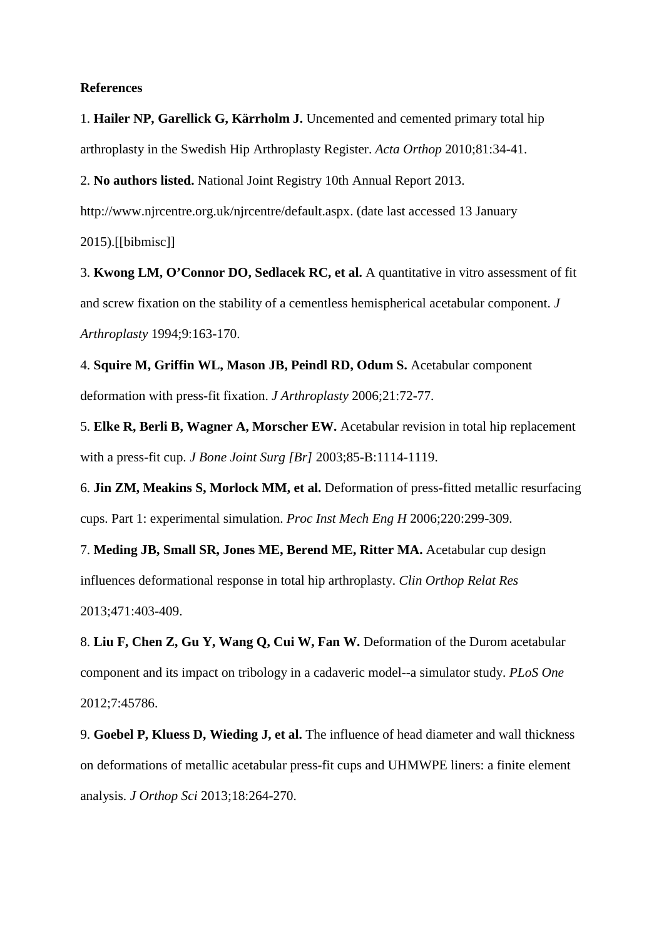#### **References**

1. **Hailer NP, Garellick G, Kärrholm J.** Uncemented and cemented primary total hip arthroplasty in the Swedish Hip Arthroplasty Register. *Acta Orthop* 2010;81:34-41.

2. **No authors listed.** National Joint Registry 10th Annual Report 2013.

http://www.njrcentre.org.uk/njrcentre/default.aspx. (date last accessed 13 January

2015).[[bibmisc]]

3. **Kwong LM, O'Connor DO, Sedlacek RC, et al.** A quantitative in vitro assessment of fit and screw fixation on the stability of a cementless hemispherical acetabular component. *J Arthroplasty* 1994;9:163-170.

4. **Squire M, Griffin WL, Mason JB, Peindl RD, Odum S.** Acetabular component deformation with press-fit fixation. *J Arthroplasty* 2006;21:72-77.

5. **Elke R, Berli B, Wagner A, Morscher EW.** Acetabular revision in total hip replacement with a press-fit cup. *J Bone Joint Surg [Br]* 2003;85-B:1114-1119.

6. **Jin ZM, Meakins S, Morlock MM, et al.** Deformation of press-fitted metallic resurfacing cups. Part 1: experimental simulation. *Proc Inst Mech Eng H* 2006;220:299-309.

7. **Meding JB, Small SR, Jones ME, Berend ME, Ritter MA.** Acetabular cup design influences deformational response in total hip arthroplasty. *Clin Orthop Relat Res* 2013;471:403-409.

8. **Liu F, Chen Z, Gu Y, Wang Q, Cui W, Fan W.** Deformation of the Durom acetabular component and its impact on tribology in a cadaveric model--a simulator study. *PLoS One* 2012;7:45786.

9. **Goebel P, Kluess D, Wieding J, et al.** The influence of head diameter and wall thickness on deformations of metallic acetabular press-fit cups and UHMWPE liners: a finite element analysis. *J Orthop Sci* 2013;18:264-270.